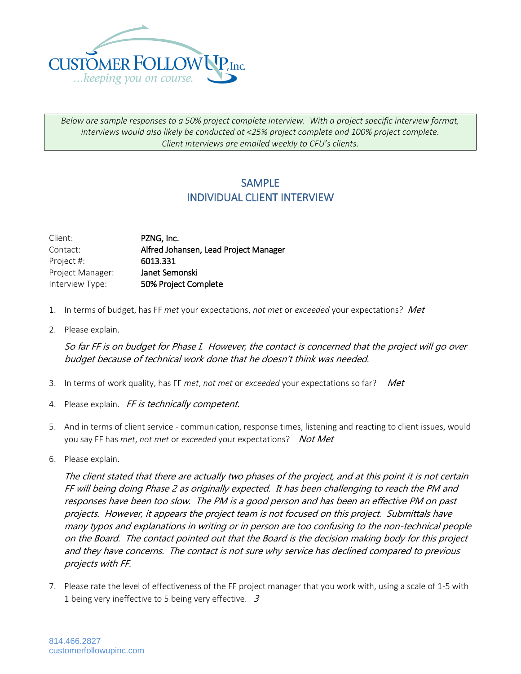

*Below are sample responses to a 50% project complete interview. With a project specific interview format, interviews would also likely be conducted at <25% project complete and 100% project complete. Client interviews are emailed weekly to CFU's clients.*

## **SAMPLE** INDIVIDUAL CLIENT INTERVIEW

| Client:          | PZNG, Inc.                            |
|------------------|---------------------------------------|
| Contact:         | Alfred Johansen, Lead Project Manager |
| Project #:       | 6013.331                              |
| Project Manager: | Janet Semonski                        |
| Interview Type:  | 50% Project Complete                  |

- 1. In terms of budget, has FF *met* your expectations, *not met* or *exceeded* your expectations? Met
- 2. Please explain.

So far FF is on budget for Phase I. However, the contact is concerned that the project will go over budget because of technical work done that he doesn't think was needed.

- 3. In terms of work quality, has FF *met*, *not met* or *exceeded* your expectations so far? Met
- 4. Please explain. FF is technically competent.
- 5. And in terms of client service communication, response times, listening and reacting to client issues, would you say FF has *met*, *not met* or *exceeded* your expectations? Not Met
- 6. Please explain.

The client stated that there are actually two phases of the project, and at this point it is not certain FF will being doing Phase 2 as originally expected. It has been challenging to reach the PM and responses have been too slow. The PM is a good person and has been an effective PM on past projects. However, it appears the project team is not focused on this project. Submittals have many typos and explanations in writing or in person are too confusing to the non-technical people on the Board. The contact pointed out that the Board is the decision making body for this project and they have concerns. The contact is not sure why service has declined compared to previous projects with FF.

7. Please rate the level of effectiveness of the FF project manager that you work with, using a scale of 1-5 with 1 being very ineffective to 5 being very effective.  $3$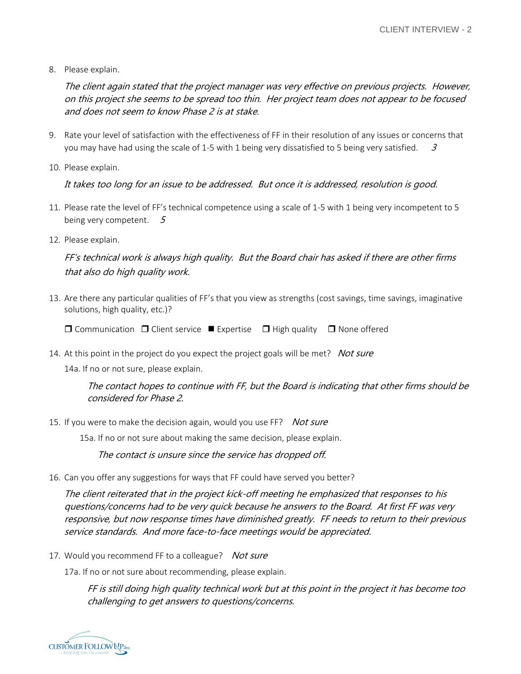8. Please explain.

The client again stated that the project manager was very effective on previous projects. However, on this project she seems to be spread too thin. Her project team does not appear to be focused and does not seem to know Phase 2 is at stake.

- 9. Rate your level of satisfaction with the effectiveness of FF in their resolution of any issues or concerns that you may have had using the scale of 1-5 with 1 being very dissatisfied to 5 being very satisfied.  $3$
- 10. Please explain.

It takes too long for an issue to be addressed. But once it is addressed, resolution is good.

- 11. Please rate the level of FF's technical competence using a scale of 1-5 with 1 being very incompetent to 5 being very competent.  $5$
- 12. Please explain.

FF's technical work is always high quality. But the Board chair has asked if there are other firms that also do high quality work.

13. Are there any particular qualities of FF's that you view as strengths (cost savings, time savings, imaginative solutions, high quality, etc.)?

 $\Box$  Communication  $\Box$  Client service  $\Box$  Expertise  $\Box$  High quality  $\Box$  None offered

14. At this point in the project do you expect the project goals will be met? Not sure

14a. If no or not sure, please explain.

The contact hopes to continue with FF, but the Board is indicating that other firms should be considered for Phase 2.

15. If you were to make the decision again, would you use FF? Not sure

15a. If no or not sure about making the same decision, please explain.

The contact is unsure since the service has dropped off.

16. Can you offer any suggestions for ways that FF could have served you better?

The client reiterated that in the project kick-off meeting he emphasized that responses to his questions/concerns had to be very quick because he answers to the Board. At first FF was very responsive, but now response times have diminished greatly. FF needs to return to their previous service standards. And more face-to-face meetings would be appreciated.

17. Would you recommend FF to a colleague? Not sure

17a. If no or not sure about recommending, please explain.

FF is still doing high quality technical work but at this point in the project it has become too challenging to get answers to questions/concerns.